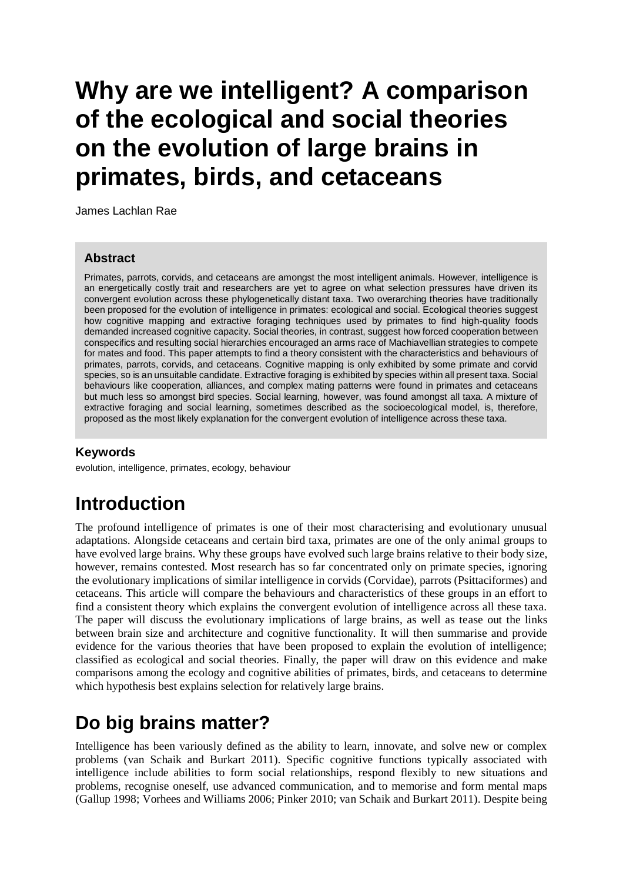# **Why are we intelligent? A comparison of the ecological and social theories on the evolution of large brains in primates, birds, and cetaceans**

James Lachlan Rae

#### **Abstract**

Primates, parrots, corvids, and cetaceans are amongst the most intelligent animals. However, intelligence is an energetically costly trait and researchers are yet to agree on what selection pressures have driven its convergent evolution across these phylogenetically distant taxa. Two overarching theories have traditionally been proposed for the evolution of intelligence in primates: ecological and social. Ecological theories suggest how cognitive mapping and extractive foraging techniques used by primates to find high-quality foods demanded increased cognitive capacity. Social theories, in contrast, suggest how forced cooperation between conspecifics and resulting social hierarchies encouraged an arms race of Machiavellian strategies to compete for mates and food. This paper attempts to find a theory consistent with the characteristics and behaviours of primates, parrots, corvids, and cetaceans. Cognitive mapping is only exhibited by some primate and corvid species, so is an unsuitable candidate. Extractive foraging is exhibited by species within all present taxa. Social behaviours like cooperation, alliances, and complex mating patterns were found in primates and cetaceans but much less so amongst bird species. Social learning, however, was found amongst all taxa. A mixture of extractive foraging and social learning, sometimes described as the socioecological model, is, therefore, proposed as the most likely explanation for the convergent evolution of intelligence across these taxa.

### **Keywords**

evolution, intelligence, primates, ecology, behaviour

# **Introduction**

The profound intelligence of primates is one of their most characterising and evolutionary unusual adaptations. Alongside cetaceans and certain bird taxa, primates are one of the only animal groups to have evolved large brains. Why these groups have evolved such large brains relative to their body size, however, remains contested. Most research has so far concentrated only on primate species, ignoring the evolutionary implications of similar intelligence in corvids (Corvidae), parrots (Psittaciformes) and cetaceans. This article will compare the behaviours and characteristics of these groups in an effort to find a consistent theory which explains the convergent evolution of intelligence across all these taxa. The paper will discuss the evolutionary implications of large brains, as well as tease out the links between brain size and architecture and cognitive functionality. It will then summarise and provide evidence for the various theories that have been proposed to explain the evolution of intelligence; classified as ecological and social theories. Finally, the paper will draw on this evidence and make comparisons among the ecology and cognitive abilities of primates, birds, and cetaceans to determine which hypothesis best explains selection for relatively large brains.

# **Do big brains matter?**

Intelligence has been variously defined as the ability to learn, innovate, and solve new or complex problems (van Schaik and Burkart 2011). Specific cognitive functions typically associated with intelligence include abilities to form social relationships, respond flexibly to new situations and problems, recognise oneself, use advanced communication, and to memorise and form mental maps (Gallup 1998; Vorhees and Williams 2006; Pinker 2010; van Schaik and Burkart 2011). Despite being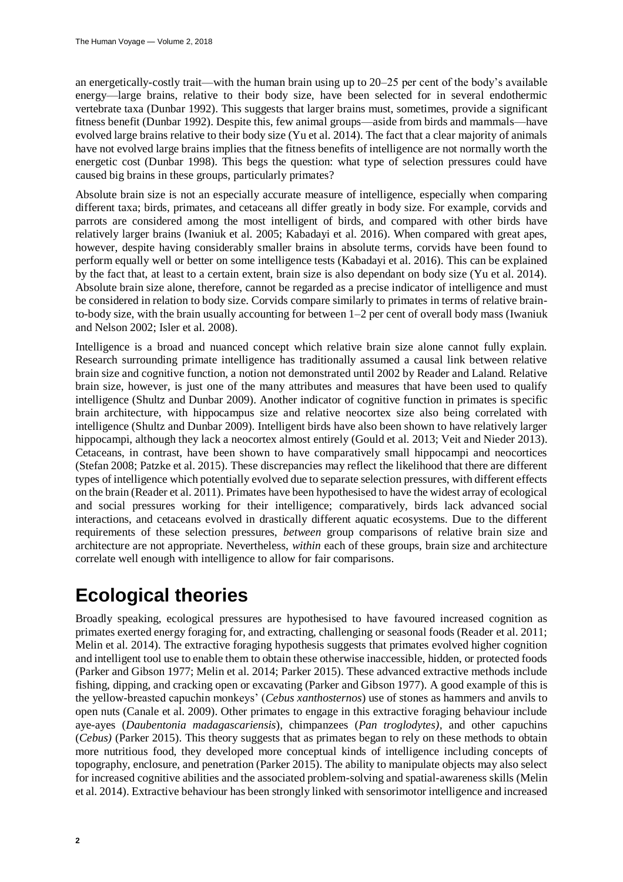an energetically-costly trait—with the human brain using up to 20–25 per cent of the body's available energy—large brains, relative to their body size, have been selected for in several endothermic vertebrate taxa (Dunbar 1992). This suggests that larger brains must, sometimes, provide a significant fitness benefit (Dunbar 1992). Despite this, few animal groups—aside from birds and mammals—have evolved large brains relative to their body size (Yu et al. 2014). The fact that a clear majority of animals have not evolved large brains implies that the fitness benefits of intelligence are not normally worth the energetic cost (Dunbar 1998). This begs the question: what type of selection pressures could have caused big brains in these groups, particularly primates?

Absolute brain size is not an especially accurate measure of intelligence, especially when comparing different taxa; birds, primates, and cetaceans all differ greatly in body size. For example, corvids and parrots are considered among the most intelligent of birds, and compared with other birds have relatively larger brains (Iwaniuk et al. 2005; Kabadayi et al. 2016). When compared with great apes, however, despite having considerably smaller brains in absolute terms, corvids have been found to perform equally well or better on some intelligence tests (Kabadayi et al. 2016). This can be explained by the fact that, at least to a certain extent, brain size is also dependant on body size (Yu et al. 2014). Absolute brain size alone, therefore, cannot be regarded as a precise indicator of intelligence and must be considered in relation to body size. Corvids compare similarly to primates in terms of relative brainto-body size, with the brain usually accounting for between 1–2 per cent of overall body mass (Iwaniuk and Nelson 2002; Isler et al. 2008).

Intelligence is a broad and nuanced concept which relative brain size alone cannot fully explain. Research surrounding primate intelligence has traditionally assumed a causal link between relative brain size and cognitive function, a notion not demonstrated until 2002 by Reader and Laland. Relative brain size, however, is just one of the many attributes and measures that have been used to qualify intelligence (Shultz and Dunbar 2009). Another indicator of cognitive function in primates is specific brain architecture, with hippocampus size and relative neocortex size also being correlated with intelligence (Shultz and Dunbar 2009). Intelligent birds have also been shown to have relatively larger hippocampi, although they lack a neocortex almost entirely (Gould et al. 2013; Veit and Nieder 2013). Cetaceans, in contrast, have been shown to have comparatively small hippocampi and neocortices (Stefan 2008; Patzke et al. 2015). These discrepancies may reflect the likelihood that there are different types of intelligence which potentially evolved due to separate selection pressures, with different effects on the brain (Reader et al. 2011). Primates have been hypothesised to have the widest array of ecological and social pressures working for their intelligence; comparatively, birds lack advanced social interactions, and cetaceans evolved in drastically different aquatic ecosystems. Due to the different requirements of these selection pressures, *between* group comparisons of relative brain size and architecture are not appropriate. Nevertheless, *within* each of these groups, brain size and architecture correlate well enough with intelligence to allow for fair comparisons.

# **Ecological theories**

Broadly speaking, ecological pressures are hypothesised to have favoured increased cognition as primates exerted energy foraging for, and extracting, challenging or seasonal foods (Reader et al. 2011; Melin et al. 2014). The extractive foraging hypothesis suggests that primates evolved higher cognition and intelligent tool use to enable them to obtain these otherwise inaccessible, hidden, or protected foods (Parker and Gibson 1977; Melin et al. 2014; Parker 2015). These advanced extractive methods include fishing, dipping, and cracking open or excavating (Parker and Gibson 1977). A good example of this is the yellow-breasted capuchin monkeys' (*Cebus xanthosternos*) use of stones as hammers and anvils to open nuts (Canale et al. 2009). Other primates to engage in this extractive foraging behaviour include aye-ayes (*Daubentonia madagascariensis*), chimpanzees (*Pan troglodytes),* and other capuchins (*Cebus)* (Parker 2015). This theory suggests that as primates began to rely on these methods to obtain more nutritious food, they developed more conceptual kinds of intelligence including concepts of topography, enclosure, and penetration (Parker 2015). The ability to manipulate objects may also select for increased cognitive abilities and the associated problem-solving and spatial-awareness skills (Melin et al. 2014). Extractive behaviour has been strongly linked with sensorimotor intelligence and increased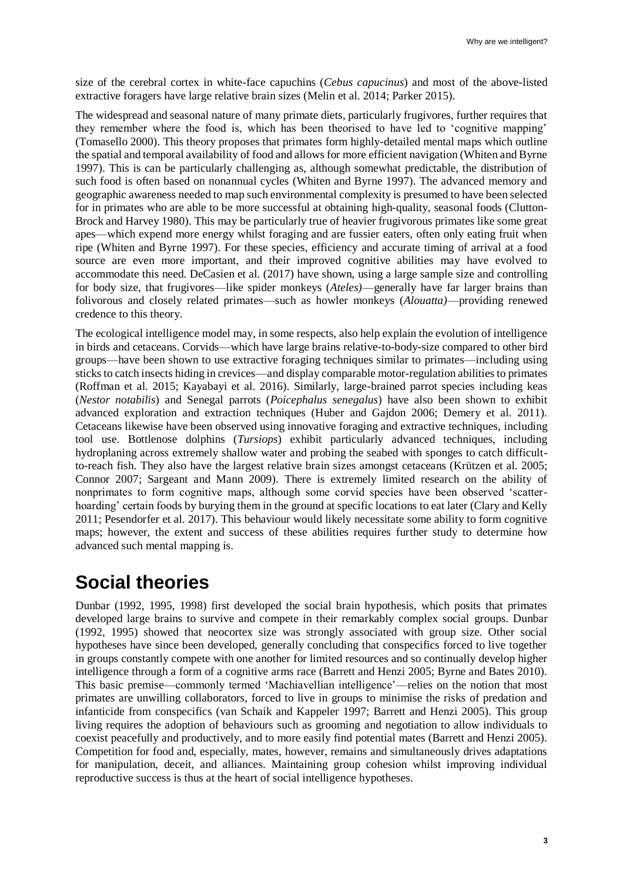size of the cerebral cortex in white-face capuchins (*Cebus capucinus*) and most of the above-listed extractive foragers have large relative brain sizes (Melin et al. 2014; Parker 2015).

The widespread and seasonal nature of many primate diets, particularly frugivores, further requires that they remember where the food is, which has been theorised to have led to 'cognitive mapping' (Tomasello 2000). This theory proposes that primates form highly-detailed mental maps which outline the spatial and temporal availability of food and allows for more efficient navigation (Whiten and Byrne 1997). This is can be particularly challenging as, although somewhat predictable, the distribution of such food is often based on nonannual cycles (Whiten and Byrne 1997). The advanced memory and geographic awareness needed to map such environmental complexity is presumed to have been selected for in primates who are able to be more successful at obtaining high-quality, seasonal foods (Clutton-Brock and Harvey 1980). This may be particularly true of heavier frugivorous primates like some great apes—which expend more energy whilst foraging and are fussier eaters, often only eating fruit when ripe (Whiten and Byrne 1997). For these species, efficiency and accurate timing of arrival at a food source are even more important, and their improved cognitive abilities may have evolved to accommodate this need. DeCasien et al. (2017) have shown, using a large sample size and controlling for body size, that frugivores—like spider monkeys (*Ateles)*—generally have far larger brains than folivorous and closely related primates—such as howler monkeys (*Alouatta)*—providing renewed credence to this theory.

The ecological intelligence model may, in some respects, also help explain the evolution of intelligence in birds and cetaceans. Corvids—which have large brains relative-to-body-size compared to other bird groups—have been shown to use extractive foraging techniques similar to primates—including using sticks to catch insects hiding in crevices—and display comparable motor-regulation abilities to primates (Roffman et al. 2015; Kayabayi et al. 2016). Similarly, large-brained parrot species including keas (*Nestor notabilis*) and Senegal parrots (*Poicephalus senegalus*) have also been shown to exhibit advanced exploration and extraction techniques (Huber and Gajdon 2006; Demery et al. 2011). Cetaceans likewise have been observed using innovative foraging and extractive techniques, including tool use. Bottlenose dolphins (*Tursiops*) exhibit particularly advanced techniques, including hydroplaning across extremely shallow water and probing the seabed with sponges to catch difficultto-reach fish. They also have the largest relative brain sizes amongst cetaceans (Krützen et al. 2005; Connor 2007; Sargeant and Mann 2009). There is extremely limited research on the ability of nonprimates to form cognitive maps, although some corvid species have been observed 'scatterhoarding' certain foods by burying them in the ground at specific locations to eat later (Clary and Kelly 2011; Pesendorfer et al. 2017). This behaviour would likely necessitate some ability to form cognitive maps; however, the extent and success of these abilities requires further study to determine how advanced such mental mapping is.

# **Social theories**

Dunbar (1992, 1995, 1998) first developed the social brain hypothesis, which posits that primates developed large brains to survive and compete in their remarkably complex social groups. Dunbar (1992, 1995) showed that neocortex size was strongly associated with group size. Other social hypotheses have since been developed, generally concluding that conspecifics forced to live together in groups constantly compete with one another for limited resources and so continually develop higher intelligence through a form of a cognitive arms race (Barrett and Henzi 2005; Byrne and Bates 2010). This basic premise—commonly termed 'Machiavellian intelligence'—relies on the notion that most primates are unwilling collaborators, forced to live in groups to minimise the risks of predation and infanticide from conspecifics (van Schaik and Kappeler 1997; Barrett and Henzi 2005). This group living requires the adoption of behaviours such as grooming and negotiation to allow individuals to coexist peacefully and productively, and to more easily find potential mates (Barrett and Henzi 2005). Competition for food and, especially, mates, however, remains and simultaneously drives adaptations for manipulation, deceit, and alliances. Maintaining group cohesion whilst improving individual reproductive success is thus at the heart of social intelligence hypotheses.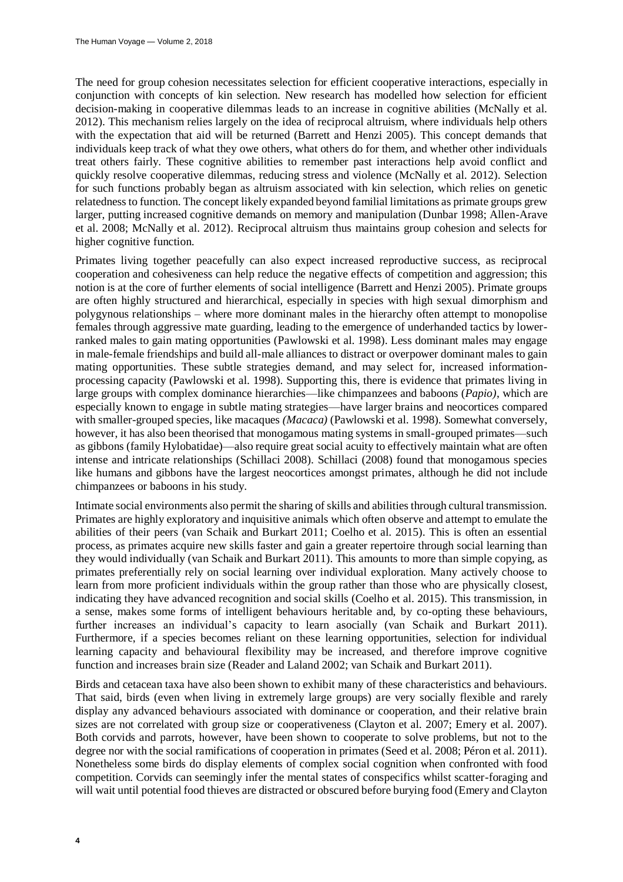The need for group cohesion necessitates selection for efficient cooperative interactions, especially in conjunction with concepts of kin selection. New research has modelled how selection for efficient decision-making in cooperative dilemmas leads to an increase in cognitive abilities (McNally et al. 2012). This mechanism relies largely on the idea of reciprocal altruism, where individuals help others with the expectation that aid will be returned (Barrett and Henzi 2005). This concept demands that individuals keep track of what they owe others, what others do for them, and whether other individuals treat others fairly. These cognitive abilities to remember past interactions help avoid conflict and quickly resolve cooperative dilemmas, reducing stress and violence (McNally et al. 2012). Selection for such functions probably began as altruism associated with kin selection, which relies on genetic relatedness to function. The concept likely expanded beyond familial limitations as primate groups grew larger, putting increased cognitive demands on memory and manipulation (Dunbar 1998; Allen-Arave et al. 2008; McNally et al. 2012). Reciprocal altruism thus maintains group cohesion and selects for higher cognitive function.

Primates living together peacefully can also expect increased reproductive success, as reciprocal cooperation and cohesiveness can help reduce the negative effects of competition and aggression; this notion is at the core of further elements of social intelligence (Barrett and Henzi 2005). Primate groups are often highly structured and hierarchical, especially in species with high sexual dimorphism and polygynous relationships – where more dominant males in the hierarchy often attempt to monopolise females through aggressive mate guarding, leading to the emergence of underhanded tactics by lowerranked males to gain mating opportunities (Pawlowski et al. 1998). Less dominant males may engage in male-female friendships and build all-male alliances to distract or overpower dominant males to gain mating opportunities. These subtle strategies demand, and may select for, increased informationprocessing capacity (Pawlowski et al. 1998). Supporting this, there is evidence that primates living in large groups with complex dominance hierarchies—like chimpanzees and baboons (*Papio)*, which are especially known to engage in subtle mating strategies—have larger brains and neocortices compared with smaller-grouped species, like macaques *(Macaca)* (Pawlowski et al. 1998)*.* Somewhat conversely, however, it has also been theorised that monogamous mating systems in small-grouped primates—such as gibbons (family Hylobatidae)—also require great social acuity to effectively maintain what are often intense and intricate relationships (Schillaci 2008). Schillaci (2008) found that monogamous species like humans and gibbons have the largest neocortices amongst primates, although he did not include chimpanzees or baboons in his study.

Intimate social environments also permit the sharing of skills and abilities through cultural transmission. Primates are highly exploratory and inquisitive animals which often observe and attempt to emulate the abilities of their peers (van Schaik and Burkart 2011; Coelho et al. 2015). This is often an essential process, as primates acquire new skills faster and gain a greater repertoire through social learning than they would individually (van Schaik and Burkart 2011). This amounts to more than simple copying, as primates preferentially rely on social learning over individual exploration. Many actively choose to learn from more proficient individuals within the group rather than those who are physically closest, indicating they have advanced recognition and social skills (Coelho et al. 2015). This transmission, in a sense, makes some forms of intelligent behaviours heritable and, by co-opting these behaviours, further increases an individual's capacity to learn asocially (van Schaik and Burkart 2011). Furthermore, if a species becomes reliant on these learning opportunities, selection for individual learning capacity and behavioural flexibility may be increased, and therefore improve cognitive function and increases brain size (Reader and Laland 2002; van Schaik and Burkart 2011).

Birds and cetacean taxa have also been shown to exhibit many of these characteristics and behaviours. That said, birds (even when living in extremely large groups) are very socially flexible and rarely display any advanced behaviours associated with dominance or cooperation, and their relative brain sizes are not correlated with group size or cooperativeness (Clayton et al. 2007; Emery et al. 2007). Both corvids and parrots, however, have been shown to cooperate to solve problems, but not to the degree nor with the social ramifications of cooperation in primates (Seed et al. 2008; Péron et al. 2011). Nonetheless some birds do display elements of complex social cognition when confronted with food competition. Corvids can seemingly infer the mental states of conspecifics whilst scatter-foraging and will wait until potential food thieves are distracted or obscured before burying food (Emery and Clayton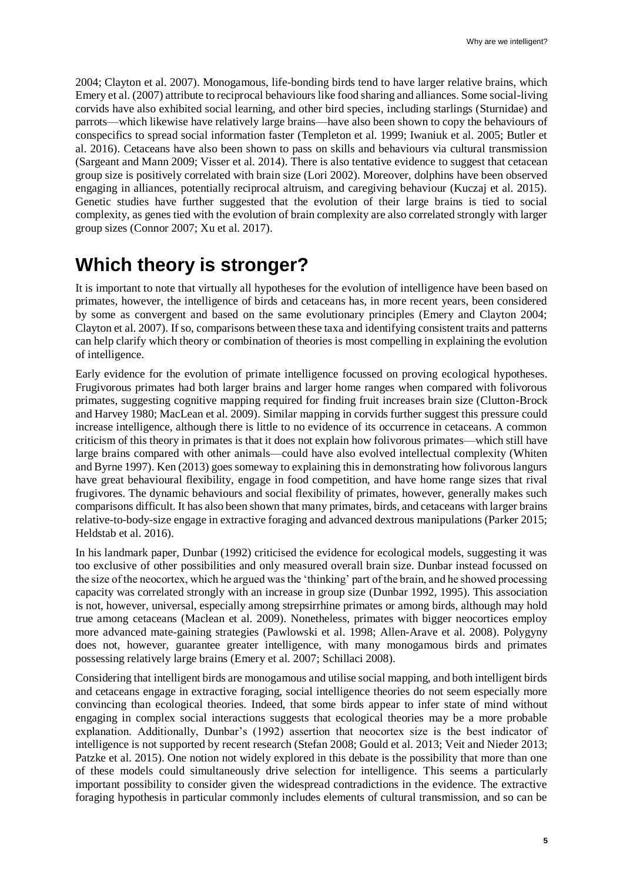2004; Clayton et al. 2007). Monogamous, life-bonding birds tend to have larger relative brains, which Emery et al. (2007) attribute to reciprocal behaviours like food sharing and alliances. Some social-living corvids have also exhibited social learning, and other bird species, including starlings (Sturnidae) and parrots—which likewise have relatively large brains—have also been shown to copy the behaviours of conspecifics to spread social information faster (Templeton et al. 1999; Iwaniuk et al. 2005; Butler et al. 2016). Cetaceans have also been shown to pass on skills and behaviours via cultural transmission (Sargeant and Mann 2009; Visser et al. 2014). There is also tentative evidence to suggest that cetacean group size is positively correlated with brain size (Lori 2002). Moreover, dolphins have been observed engaging in alliances, potentially reciprocal altruism, and caregiving behaviour (Kuczaj et al. 2015). Genetic studies have further suggested that the evolution of their large brains is tied to social complexity, as genes tied with the evolution of brain complexity are also correlated strongly with larger group sizes (Connor 2007; Xu et al. 2017).

# **Which theory is stronger?**

It is important to note that virtually all hypotheses for the evolution of intelligence have been based on primates, however, the intelligence of birds and cetaceans has, in more recent years, been considered by some as convergent and based on the same evolutionary principles (Emery and Clayton 2004; Clayton et al. 2007). If so, comparisons between these taxa and identifying consistent traits and patterns can help clarify which theory or combination of theories is most compelling in explaining the evolution of intelligence.

Early evidence for the evolution of primate intelligence focussed on proving ecological hypotheses. Frugivorous primates had both larger brains and larger home ranges when compared with folivorous primates, suggesting cognitive mapping required for finding fruit increases brain size (Clutton-Brock and Harvey 1980; MacLean et al. 2009). Similar mapping in corvids further suggest this pressure could increase intelligence, although there is little to no evidence of its occurrence in cetaceans. A common criticism of this theory in primates is that it does not explain how folivorous primates—which still have large brains compared with other animals—could have also evolved intellectual complexity (Whiten and Byrne 1997). Ken (2013) goes someway to explaining this in demonstrating how folivorous langurs have great behavioural flexibility, engage in food competition, and have home range sizes that rival frugivores. The dynamic behaviours and social flexibility of primates, however, generally makes such comparisons difficult. It has also been shown that many primates, birds, and cetaceans with larger brains relative-to-body-size engage in extractive foraging and advanced dextrous manipulations (Parker 2015; Heldstab et al. 2016).

In his landmark paper, Dunbar (1992) criticised the evidence for ecological models, suggesting it was too exclusive of other possibilities and only measured overall brain size. Dunbar instead focussed on the size of the neocortex, which he argued was the 'thinking' part of the brain, and he showed processing capacity was correlated strongly with an increase in group size (Dunbar 1992, 1995). This association is not, however, universal, especially among strepsirrhine primates or among birds, although may hold true among cetaceans (Maclean et al. 2009). Nonetheless, primates with bigger neocortices employ more advanced mate-gaining strategies (Pawlowski et al. 1998; Allen-Arave et al. 2008). Polygyny does not, however, guarantee greater intelligence, with many monogamous birds and primates possessing relatively large brains (Emery et al. 2007; Schillaci 2008).

Considering that intelligent birds are monogamous and utilise social mapping, and both intelligent birds and cetaceans engage in extractive foraging, social intelligence theories do not seem especially more convincing than ecological theories. Indeed, that some birds appear to infer state of mind without engaging in complex social interactions suggests that ecological theories may be a more probable explanation. Additionally, Dunbar's (1992) assertion that neocortex size is the best indicator of intelligence is not supported by recent research (Stefan 2008; Gould et al. 2013; Veit and Nieder 2013; Patzke et al. 2015). One notion not widely explored in this debate is the possibility that more than one of these models could simultaneously drive selection for intelligence. This seems a particularly important possibility to consider given the widespread contradictions in the evidence. The extractive foraging hypothesis in particular commonly includes elements of cultural transmission, and so can be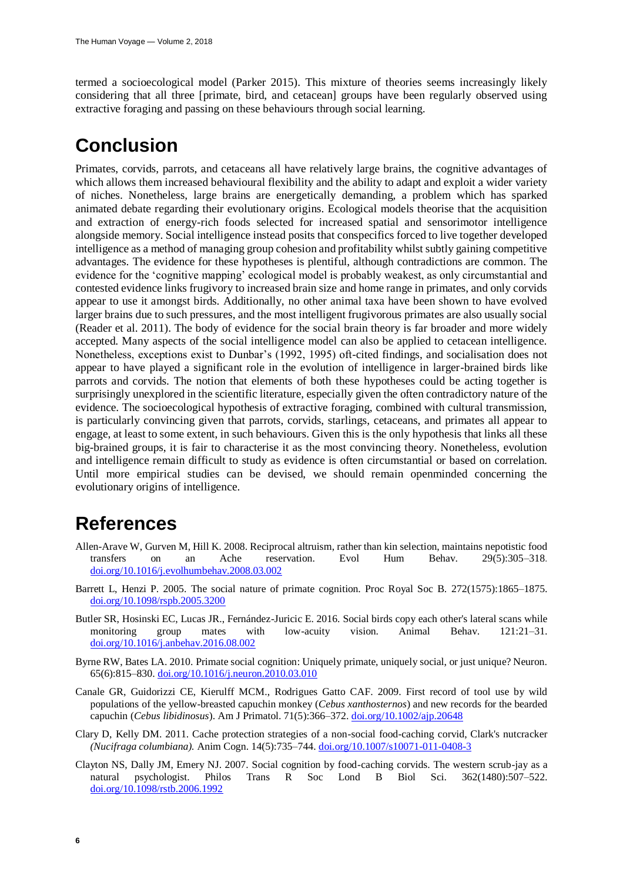termed a socioecological model (Parker 2015). This mixture of theories seems increasingly likely considering that all three [primate, bird, and cetacean] groups have been regularly observed using extractive foraging and passing on these behaviours through social learning.

# **Conclusion**

Primates, corvids, parrots, and cetaceans all have relatively large brains, the cognitive advantages of which allows them increased behavioural flexibility and the ability to adapt and exploit a wider variety of niches. Nonetheless, large brains are energetically demanding, a problem which has sparked animated debate regarding their evolutionary origins. Ecological models theorise that the acquisition and extraction of energy-rich foods selected for increased spatial and sensorimotor intelligence alongside memory. Social intelligence instead posits that conspecifics forced to live together developed intelligence as a method of managing group cohesion and profitability whilst subtly gaining competitive advantages. The evidence for these hypotheses is plentiful, although contradictions are common. The evidence for the 'cognitive mapping' ecological model is probably weakest, as only circumstantial and contested evidence links frugivory to increased brain size and home range in primates, and only corvids appear to use it amongst birds. Additionally, no other animal taxa have been shown to have evolved larger brains due to such pressures, and the most intelligent frugivorous primates are also usually social (Reader et al. 2011). The body of evidence for the social brain theory is far broader and more widely accepted. Many aspects of the social intelligence model can also be applied to cetacean intelligence. Nonetheless, exceptions exist to Dunbar's (1992, 1995) oft-cited findings, and socialisation does not appear to have played a significant role in the evolution of intelligence in larger-brained birds like parrots and corvids. The notion that elements of both these hypotheses could be acting together is surprisingly unexplored in the scientific literature, especially given the often contradictory nature of the evidence. The socioecological hypothesis of extractive foraging, combined with cultural transmission, is particularly convincing given that parrots, corvids, starlings, cetaceans, and primates all appear to engage, at least to some extent, in such behaviours. Given this is the only hypothesis that links all these big-brained groups, it is fair to characterise it as the most convincing theory. Nonetheless, evolution and intelligence remain difficult to study as evidence is often circumstantial or based on correlation. Until more empirical studies can be devised, we should remain openminded concerning the evolutionary origins of intelligence.

### **References**

- Allen-Arave W, Gurven M, Hill K. 2008. Reciprocal altruism, rather than kin selection, maintains nepotistic food transfers on an Ache reservation. Evol Hum Behav. 29(5):305–318. [doi.org/10.1016/j.evolhumbehav.2008.03.002](https://doi.org/10.1016/j.evolhumbehav.2008.03.002)
- Barrett L, Henzi P. 2005. The social nature of primate cognition. Proc Royal Soc B. 272(1575):1865–1875. [doi.org/10.1098/rspb.2005.3200](https://doi.org/10.1098/rspb.2005.3200)
- Butler SR, Hosinski EC, Lucas JR., Fernández-Juricic E. 2016. Social birds copy each other's lateral scans while monitoring group mates with low-acuity vision. Animal Behav. 121:21–31. [doi.org/10.1016/j.anbehav.2016.08.002](https://doi.org/10.1016/j.anbehav.2016.08.002)
- Byrne RW, Bates LA. 2010. Primate social cognition: Uniquely primate, uniquely social, or just unique? Neuron. 65(6):815–830[. doi.org/10.1016/j.neuron.2010.03.010](https://doi.org/10.1016/j.neuron.2010.03.010)
- Canale GR, Guidorizzi CE, Kierulff MCM., Rodrigues Gatto CAF. 2009. First record of tool use by wild populations of the yellow-breasted capuchin monkey (*Cebus xanthosternos*) and new records for the bearded capuchin (*Cebus libidinosus*). Am J Primatol. 71(5):366–372[. doi.org/10.1002/ajp.20648](https://doi.org/10.1002/ajp.20648)
- Clary D, Kelly DM. 2011. Cache protection strategies of a non-social food-caching corvid, Clark's nutcracker *(Nucifraga columbiana).* Anim Cogn. 14(5):735–744. [doi.org/10.1007/s10071-011-0408-3](https://doi.org/10.1007/s10071-011-0408-3)
- Clayton NS, Dally JM, Emery NJ. 2007. Social cognition by food-caching corvids. The western scrub-jay as a natural psychologist. Philos Trans R Soc Lond B Biol Sci. 362(1480):507–522. [doi.org/10.1098/rstb.2006.1992](https://doi.org/10.1098/rstb.2006.1992)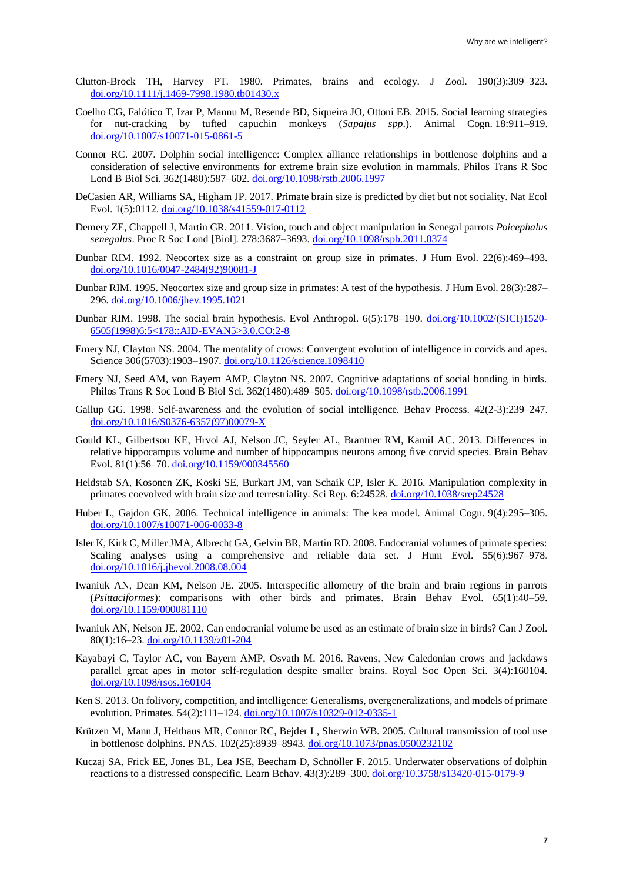- Clutton-Brock TH, Harvey PT. 1980. Primates, brains and ecology. J Zool. 190(3):309–323. [doi.org/10.1111/j.1469-7998.1980.tb01430.x](https://doi.org/10.1111/j.1469-7998.1980.tb01430.x)
- Coelho CG, Fal*ó*tico T, Izar P, Mannu M, Resende BD, Siqueira JO, Ottoni EB. 2015. Social learning strategies for nut-cracking by tufted capuchin monkeys (*Sapajus spp*.). Animal Cogn. 18:911–919. [doi.org/10.1007/s10071-015-0861-5](https://doi.org/10.1007/s10071-015-0861-5)
- Connor RC. 2007. Dolphin social intelligence: Complex alliance relationships in bottlenose dolphins and a consideration of selective environments for extreme brain size evolution in mammals. Philos Trans R Soc Lond B Biol Sci. 362(1480):587–602. [doi.org/10.1098/rstb.2006.1997](https://doi.org/10.1098/rstb.2006.1997)
- DeCasien AR, Williams SA, Higham JP. 2017. Primate brain size is predicted by diet but not sociality. Nat Ecol Evol. 1(5):0112. [doi.org/10.1038/s41559-017-0112](https://doi.org/10.1038/s41559-017-0112)
- Demery ZE, Chappell J, Martin GR. 2011. Vision, touch and object manipulation in Senegal parrots *Poicephalus senegalus*. Proc R Soc Lond [Biol]. 278:3687–3693. [doi.org/10.1098/rspb.2011.0374](https://doi.org/10.1098/rspb.2011.0374)
- Dunbar RIM. 1992. Neocortex size as a constraint on group size in primates. J Hum Evol. 22(6):469–493. [doi.org/10.1016/0047-2484\(92\)90081-J](https://doi.org/10.1016/0047-2484(92)90081-J)
- Dunbar RIM. 1995. Neocortex size and group size in primates: A test of the hypothesis. J Hum Evol. 28(3):287– 296. [doi.org/10.1006/jhev.1995.1021](https://doi.org/10.1006/jhev.1995.1021)
- Dunbar RIM. 1998. The social brain hypothesis. Evol Anthropol. 6(5):178–190. [doi.org/10.1002/\(SICI\)1520-](https://doi.org/10.1002/(SICI)1520-6505(1998)6:5%3C178::AID-EVAN5%3E3.0.CO;2-8) [6505\(1998\)6:5<178::AID-EVAN5>3.0.CO;2-8](https://doi.org/10.1002/(SICI)1520-6505(1998)6:5%3C178::AID-EVAN5%3E3.0.CO;2-8)
- Emery NJ, Clayton NS. 2004. The mentality of crows: Convergent evolution of intelligence in corvids and apes. Science 306(5703):1903-1907. [doi.org/10.1126/science.1098410](https://doi.org/10.1126/science.1098410)
- Emery NJ, Seed AM, von Bayern AMP, Clayton NS. 2007. Cognitive adaptations of social bonding in birds. Philos Trans R Soc Lond B Biol Sci. 362(1480):489–505. [doi.org/10.1098/rstb.2006.1991](https://doi.org/10.1098/rstb.2006.1991)
- Gallup GG. 1998. Self-awareness and the evolution of social intelligence. Behav Process. 42(2-3):239–247. [doi.org/10.1016/S0376-6357\(97\)00079-X](https://doi.org/10.1016/S0376-6357(97)00079-X)
- Gould KL, Gilbertson KE, Hrvol AJ, Nelson JC, Seyfer AL, Brantner RM, Kamil AC. 2013. Differences in relative hippocampus volume and number of hippocampus neurons among five corvid species. Brain Behav Evol. 81(1):56–70. [doi.org/10.1159/000345560](https://doi.org/10.1159/000345560)
- Heldstab SA, Kosonen ZK, Koski SE, Burkart JM, van Schaik CP, Isler K. 2016. Manipulation complexity in primates coevolved with brain size and terrestriality. Sci Rep. 6:24528. [doi.org/10.1038/srep24528](https://doi.org/10.1038/srep24528)
- Huber L, Gajdon GK. 2006. Technical intelligence in animals: The kea model. Animal Cogn. 9(4):295–305. [doi.org/10.1007/s10071-006-0033-8](https://doi.org/10.1007/s10071-006-0033-8)
- Isler K, Kirk C, Miller JMA, Albrecht GA, Gelvin BR, Martin RD. 2008. Endocranial volumes of primate species: Scaling analyses using a comprehensive and reliable data set. J Hum Evol. 55(6):967–978. [doi.org/10.1016/j.jhevol.2008.08.004](https://doi.org/10.1016/j.jhevol.2008.08.004)
- Iwaniuk AN, Dean KM, Nelson JE. 2005. Interspecific allometry of the brain and brain regions in parrots (*Psittaciformes*): comparisons with other birds and primates. Brain Behav Evol. 65(1):40–59. [doi.org/10.1159/000081110](https://doi.org/10.1159/000081110)
- Iwaniuk AN, Nelson JE. 2002. Can endocranial volume be used as an estimate of brain size in birds? Can J Zool. 80(1):16–23[. doi.org/10.1139/z01-204](https://doi.org/10.1139/z01-204)
- Kayabayi C, Taylor AC, von Bayern AMP, Osvath M. 2016. Ravens, New Caledonian crows and jackdaws parallel great apes in motor self-regulation despite smaller brains. Royal Soc Open Sci. 3(4):160104. [doi.org/10.1098/rsos.160104](https://doi.org/10.1098/rsos.160104)
- Ken S. 2013. On folivory, competition, and intelligence: Generalisms, overgeneralizations, and models of primate evolution. Primates. 54(2):111–124. [doi.org/10.1007/s10329-012-0335-1](https://doi.org/10.1007/s10329-012-0335-1)
- Krützen M, Mann J, Heithaus MR, Connor RC, Bejder L, Sherwin WB. 2005. Cultural transmission of tool use in bottlenose dolphins. PNAS. 102(25):8939–8943. [doi.org/10.1073/pnas.0500232102](https://doi.org/10.1073/pnas.0500232102)
- Kuczaj SA, Frick EE, Jones BL, Lea JSE, Beecham D, Schnöller F. 2015. Underwater observations of dolphin reactions to a distressed conspecific. Learn Behav. 43(3):289–300. [doi.org/10.3758/s13420-015-0179-9](https://doi.org/10.3758/s13420-015-0179-9)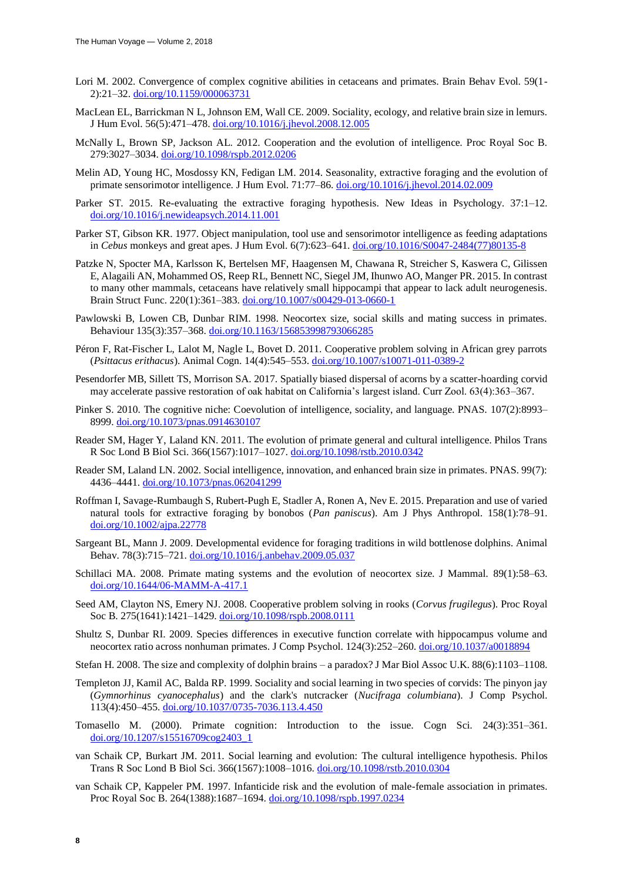- Lori M. 2002. Convergence of complex cognitive abilities in cetaceans and primates. Brain Behav Evol. 59(1-2):21–32. [doi.org/10.1159/000063731](https://doi.org/10.1159/000063731)
- MacLean EL, Barrickman N L, Johnson EM, Wall CE. 2009. Sociality, ecology, and relative brain size in lemurs. J Hum Evol. 56(5):471–478. [doi.org/10.1016/j.jhevol.2008.12.005](https://doi.org/10.1016/j.jhevol.2008.12.005)
- McNally L, Brown SP, Jackson AL. 2012. Cooperation and the evolution of intelligence. Proc Royal Soc B. 279:3027–3034. [doi.org/10.1098/rspb.2012.0206](https://doi.org/10.1098/rspb.2012.0206)
- Melin AD, Young HC, Mosdossy KN, Fedigan LM. 2014. Seasonality, extractive foraging and the evolution of primate sensorimotor intelligence. J Hum Evol. 71:77–86. [doi.org/10.1016/j.jhevol.2014.02.009](https://doi.org/10.1016/j.jhevol.2014.02.009)
- Parker ST. 2015. Re-evaluating the extractive foraging hypothesis. New Ideas in Psychology. 37:1–12. [doi.org/10.1016/j.newideapsych.2014.11.001](https://doi.org/10.1016/j.newideapsych.2014.11.001)
- Parker ST, Gibson KR. 1977. Object manipulation, tool use and sensorimotor intelligence as feeding adaptations in *Cebus* monkeys and great apes. J Hum Evol. 6(7):623–641. [doi.org/10.1016/S0047-2484\(77\)80135-8](https://doi.org/10.1016/S0047-2484(77)80135-8)
- Patzke N, Spocter MA, Karlsson K, Bertelsen MF, Haagensen M, Chawana R, Streicher S, Kaswera C, Gilissen E, Alagaili AN, Mohammed OS, Reep RL, Bennett NC, Siegel JM, Ihunwo AO, Manger PR. 2015. In contrast to many other mammals, cetaceans have relatively small hippocampi that appear to lack adult neurogenesis. Brain Struct Func. 220(1):361–383[. doi.org/10.1007/s00429-013-0660-1](https://doi.org/10.1007/s00429-013-0660-1)
- Pawlowski B, Lowen CB, Dunbar RIM. 1998. Neocortex size, social skills and mating success in primates. Behaviour 135(3):357–368. [doi.org/10.1163/156853998793066285](https://doi.org/10.1163/156853998793066285)
- Péron F, Rat-Fischer L, Lalot M, Nagle L, Bovet D. 2011. Cooperative problem solving in African grey parrots (*Psittacus erithacus*). Animal Cogn. 14(4):545–553. [doi.org/10.1007/s10071-011-0389-2](https://doi.org/10.1007/s10071-011-0389-2)
- Pesendorfer MB, Sillett TS, Morrison SA. 2017. Spatially biased dispersal of acorns by a scatter-hoarding corvid may accelerate passive restoration of oak habitat on California's largest island. Curr Zool. 63(4):363–367.
- Pinker S. 2010. The cognitive niche: Coevolution of intelligence, sociality, and language. PNAS. 107(2):8993– 8999. [doi.org/10.1073/pnas.0914630107](https://doi.org/10.1073/pnas.0914630107)
- Reader SM, Hager Y, Laland KN. 2011. The evolution of primate general and cultural intelligence. Philos Trans R Soc Lond B Biol Sci. 366(1567):1017–1027[. doi.org/10.1098/rstb.2010.0342](https://doi.org/10.1098/rstb.2010.0342)
- Reader SM, Laland LN. 2002. Social intelligence, innovation, and enhanced brain size in primates. PNAS. 99(7): 4436–4441. [doi.org/10.1073/pnas.062041299](https://doi.org/10.1073/pnas.062041299)
- Roffman I, Savage-Rumbaugh S, Rubert-Pugh E, Stadler A, Ronen A, Nev E. 2015. Preparation and use of varied natural tools for extractive foraging by bonobos (*Pan paniscus*). Am J Phys Anthropol. 158(1):78–91. [doi.org/10.1002/ajpa.22778](https://doi.org/10.1002/ajpa.22778)
- Sargeant BL, Mann J. 2009. Developmental evidence for foraging traditions in wild bottlenose dolphins. Animal Behav. 78(3):715–721. [doi.org/10.1016/j.anbehav.2009.05.037](https://doi.org/10.1016/j.anbehav.2009.05.037)
- Schillaci MA. 2008. Primate mating systems and the evolution of neocortex size. J Mammal. 89(1):58-63. [doi.org/10.1644/06-MAMM-A-417.1](https://doi.org/10.1644/06-MAMM-A-417.1)
- Seed AM, Clayton NS, Emery NJ. 2008. Cooperative problem solving in rooks (*Corvus frugilegus*). Proc Royal Soc B. 275(1641):1421–1429. [doi.org/10.1098/rspb.2008.0111](https://doi.org/10.1098/rspb.2008.0111)
- Shultz S, Dunbar RI. 2009. Species differences in executive function correlate with hippocampus volume and neocortex ratio across nonhuman primates. J Comp Psychol. 124(3):252–260. [doi.org/10.1037/a0018894](https://doi.org/10.1037/a0018894)
- Stefan H. 2008. The size and complexity of dolphin brains a paradox? J Mar Biol Assoc U.K. 88(6):1103–1108.
- Templeton JJ, Kamil AC, Balda RP. 1999. Sociality and social learning in two species of corvids: The pinyon jay (*Gymnorhinus cyanocephalus*) and the clark's nutcracker (*Nucifraga columbiana*). J Comp Psychol. 113(4):450–455[. doi.org/10.1037/0735-7036.113.4.450](https://doi.org/10.1037/0735-7036.113.4.450)
- Tomasello M. (2000). Primate cognition: Introduction to the issue. Cogn Sci. 24(3):351–361. [doi.org/10.1207/s15516709cog2403\\_1](https://doi.org/10.1207/s15516709cog2403_1)
- van Schaik CP, Burkart JM. 2011. Social learning and evolution: The cultural intelligence hypothesis. Philos Trans R Soc Lond B Biol Sci. 366(1567):1008–1016. [doi.org/10.1098/rstb.2010.0304](https://doi.org/10.1098/rstb.2010.0304)
- van Schaik CP, Kappeler PM. 1997. Infanticide risk and the evolution of male-female association in primates. Proc Royal Soc B. 264(1388):1687–1694. [doi.org/10.1098/rspb.1997.0234](https://doi.org/10.1098/rspb.1997.0234)